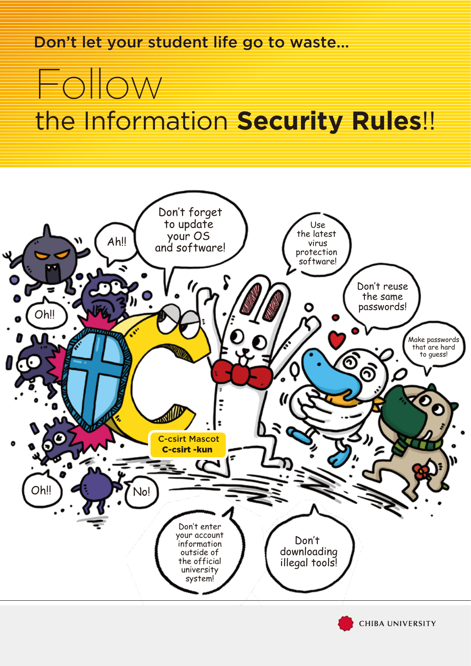Don't let your student life go to waste...

## **DIOW** the Information **Security Rules**!!